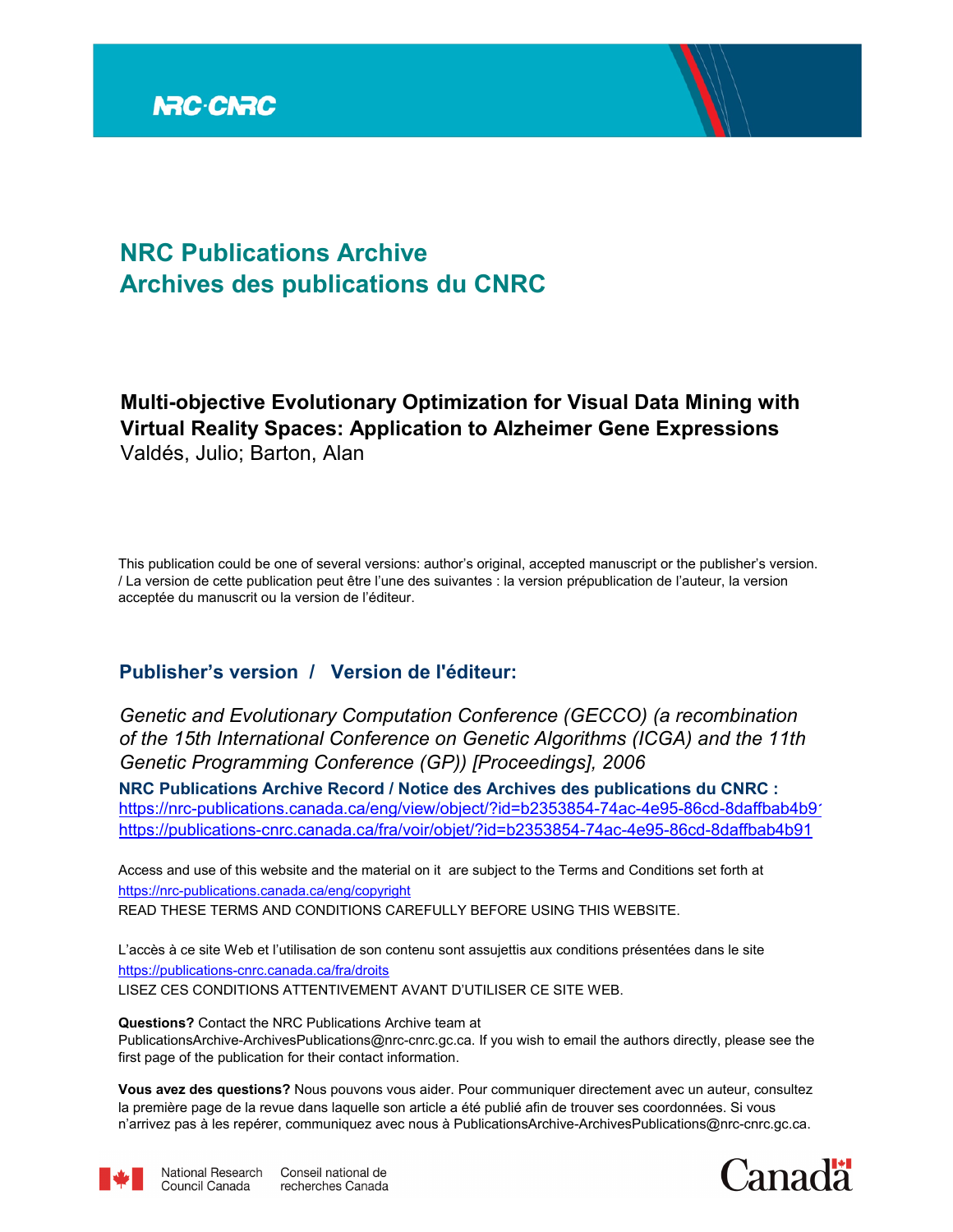

# **NRC Publications Archive Archives des publications du CNRC**

# **Multi-objective Evolutionary Optimization for Visual Data Mining with Virtual Reality Spaces: Application to Alzheimer Gene Expressions** Valdés, Julio; Barton, Alan

This publication could be one of several versions: author's original, accepted manuscript or the publisher's version. / La version de cette publication peut être l'une des suivantes : la version prépublication de l'auteur, la version acceptée du manuscrit ou la version de l'éditeur.

# **Publisher's version / Version de l'éditeur:**

*Genetic and Evolutionary Computation Conference (GECCO) (a recombination of the 15th International Conference on Genetic Algorithms (ICGA) and the 11th Genetic Programming Conference (GP)) [Proceedings], 2006*

**NRC Publications Archive Record / Notice des Archives des publications du CNRC :** https://nrc-publications.canada.ca/eng/view/object/?id=b2353854-74ac-4e95-86cd-8daffbab4b91 https://publications-cnrc.canada.ca/fra/voir/objet/?id=b2353854-74ac-4e95-86cd-8daffbab4b91

READ THESE TERMS AND CONDITIONS CAREFULLY BEFORE USING THIS WEBSITE. https://nrc-publications.canada.ca/eng/copyright Access and use of this website and the material on it are subject to the Terms and Conditions set forth at

https://publications-cnrc.canada.ca/fra/droits L'accès à ce site Web et l'utilisation de son contenu sont assujettis aux conditions présentées dans le site LISEZ CES CONDITIONS ATTENTIVEMENT AVANT D'UTILISER CE SITE WEB.

**Questions?** Contact the NRC Publications Archive team at

PublicationsArchive-ArchivesPublications@nrc-cnrc.gc.ca. If you wish to email the authors directly, please see the first page of the publication for their contact information.

**Vous avez des questions?** Nous pouvons vous aider. Pour communiquer directement avec un auteur, consultez la première page de la revue dans laquelle son article a été publié afin de trouver ses coordonnées. Si vous n'arrivez pas à les repérer, communiquez avec nous à PublicationsArchive-ArchivesPublications@nrc-cnrc.gc.ca.



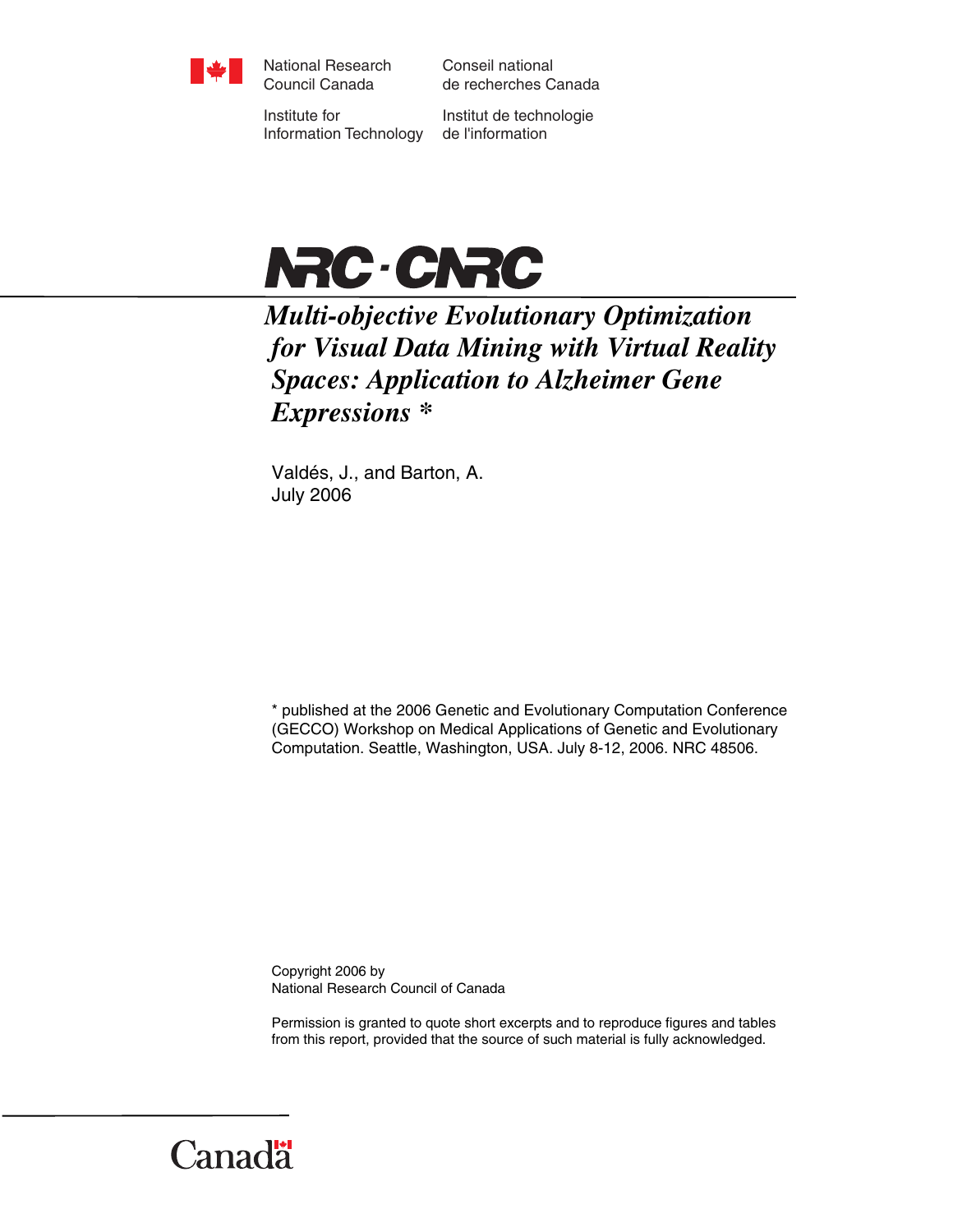

National Research Council Canada

Conseil national de recherches Canada

Institute for Information Technology

Institut de technologie de l'information



# *Multi-objective Evolutionary Optimization for Visual Data Mining with Virtual Reality Spaces: Application to Alzheimer Gene Expressions \**

Valdés, J., and Barton, A. July 2006

\* published at the 2006 Genetic and Evolutionary Computation Conference (GECCO) Workshop on Medical Applications of Genetic and Evolutionary Computation. Seattle, Washington, USA. July 8-12, 2006. NRC 48506.

Copyright 2006 by National Research Council of Canada

Permission is granted to quote short excerpts and to reproduce figures and tables from this report, provided that the source of such material is fully acknowledged.

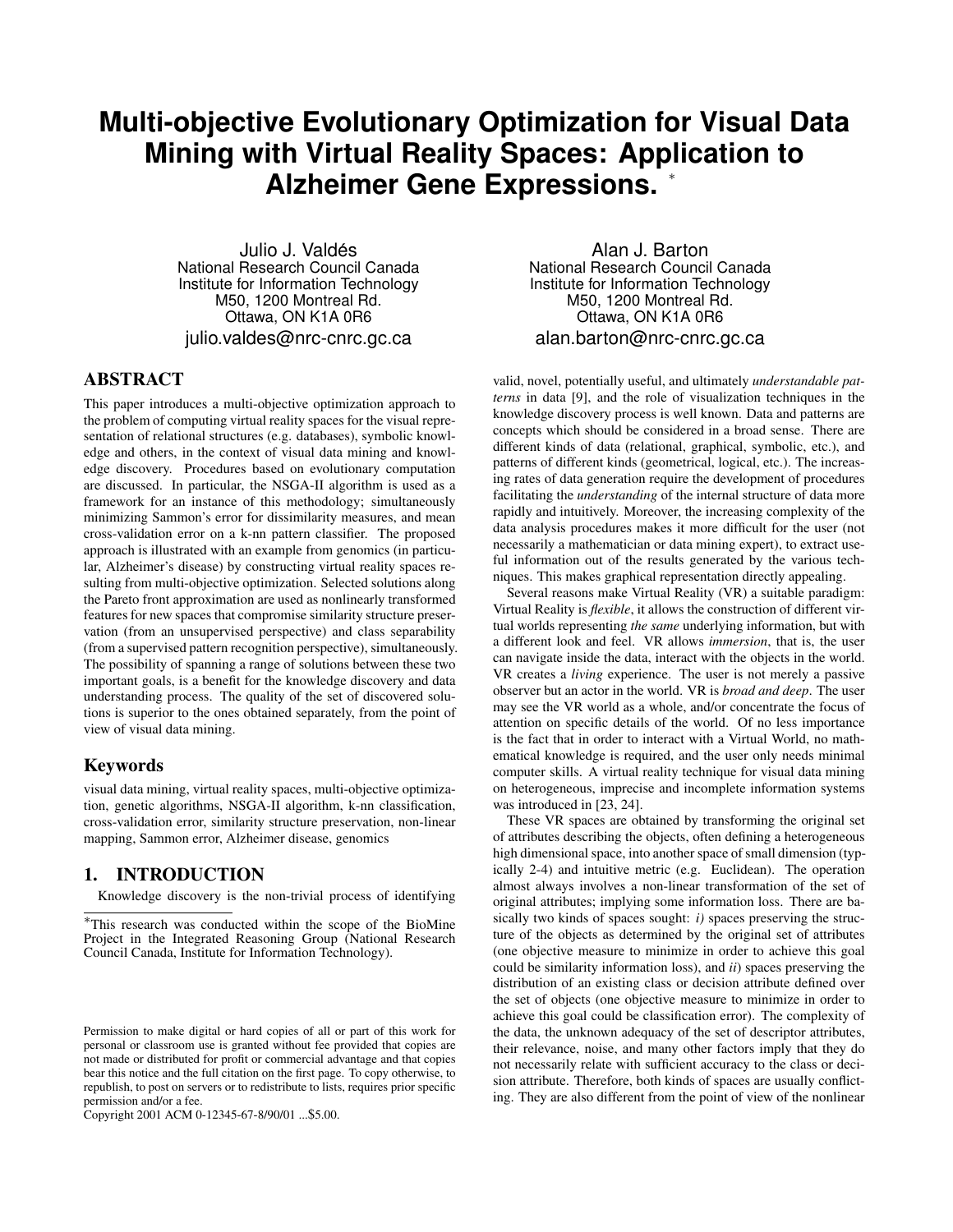# **Multi-objective Evolutionary Optimization for Visual Data Mining with Virtual Reality Spaces: Application to Alzheimer Gene Expressions.**

Julio J. Valdés National Research Council Canada Institute for Information Technology M50, 1200 Montreal Rd. Ottawa, ON K1A 0R6 julio.valdes@nrc-cnrc.gc.ca

### ABSTRACT

This paper introduces a multi-objective optimization approach to the problem of computing virtual reality spaces for the visual representation of relational structures (e.g. databases), symbolic knowledge and others, in the context of visual data mining and knowledge discovery. Procedures based on evolutionary computation are discussed. In particular, the NSGA-II algorithm is used as a framework for an instance of this methodology; simultaneously minimizing Sammon's error for dissimilarity measures, and mean cross-validation error on a k-nn pattern classifier. The proposed approach is illustrated with an example from genomics (in particular, Alzheimer's disease) by constructing virtual reality spaces resulting from multi-objective optimization. Selected solutions along the Pareto front approximation are used as nonlinearly transformed features for new spaces that compromise similarity structure preservation (from an unsupervised perspective) and class separability (from a supervised pattern recognition perspective), simultaneously. The possibility of spanning a range of solutions between these two important goals, is a benefit for the knowledge discovery and data understanding process. The quality of the set of discovered solutions is superior to the ones obtained separately, from the point of view of visual data mining.

### Keywords

visual data mining, virtual reality spaces, multi-objective optimization, genetic algorithms, NSGA-II algorithm, k-nn classification, cross-validation error, similarity structure preservation, non-linear mapping, Sammon error, Alzheimer disease, genomics

#### 1. INTRODUCTION

Knowledge discovery is the non-trivial process of identifying

Copyright 2001 ACM 0-12345-67-8/90/01 ...\$5.00.

Alan J. Barton National Research Council Canada Institute for Information Technology M50, 1200 Montreal Rd. Ottawa, ON K1A 0R6 alan.barton@nrc-cnrc.gc.ca

valid, novel, potentially useful, and ultimately *understandable patterns* in data [9], and the role of visualization techniques in the knowledge discovery process is well known. Data and patterns are concepts which should be considered in a broad sense. There are different kinds of data (relational, graphical, symbolic, etc.), and patterns of different kinds (geometrical, logical, etc.). The increasing rates of data generation require the development of procedures facilitating the *understanding* of the internal structure of data more rapidly and intuitively. Moreover, the increasing complexity of the data analysis procedures makes it more difficult for the user (not necessarily a mathematician or data mining expert), to extract useful information out of the results generated by the various techniques. This makes graphical representation directly appealing.

Several reasons make Virtual Reality (VR) a suitable paradigm: Virtual Reality is *flexible*, it allows the construction of different virtual worlds representing *the same* underlying information, but with a different look and feel. VR allows *immersion*, that is, the user can navigate inside the data, interact with the objects in the world. VR creates a *living* experience. The user is not merely a passive observer but an actor in the world. VR is *broad and deep*. The user may see the VR world as a whole, and/or concentrate the focus of attention on specific details of the world. Of no less importance is the fact that in order to interact with a Virtual World, no mathematical knowledge is required, and the user only needs minimal computer skills. A virtual reality technique for visual data mining on heterogeneous, imprecise and incomplete information systems was introduced in [23, 24].

These VR spaces are obtained by transforming the original set of attributes describing the objects, often defining a heterogeneous high dimensional space, into another space of small dimension (typically 2-4) and intuitive metric (e.g. Euclidean). The operation almost always involves a non-linear transformation of the set of original attributes; implying some information loss. There are basically two kinds of spaces sought: *i)* spaces preserving the structure of the objects as determined by the original set of attributes (one objective measure to minimize in order to achieve this goal could be similarity information loss), and *ii*) spaces preserving the distribution of an existing class or decision attribute defined over the set of objects (one objective measure to minimize in order to achieve this goal could be classification error). The complexity of the data, the unknown adequacy of the set of descriptor attributes, their relevance, noise, and many other factors imply that they do not necessarily relate with sufficient accuracy to the class or decision attribute. Therefore, both kinds of spaces are usually conflicting. They are also different from the point of view of the nonlinear

<sup>∗</sup>This research was conducted within the scope of the BioMine Project in the Integrated Reasoning Group (National Research Council Canada, Institute for Information Technology).

Permission to make digital or hard copies of all or part of this work for personal or classroom use is granted without fee provided that copies are not made or distributed for profit or commercial advantage and that copies bear this notice and the full citation on the first page. To copy otherwise, to republish, to post on servers or to redistribute to lists, requires prior specific permission and/or a fee.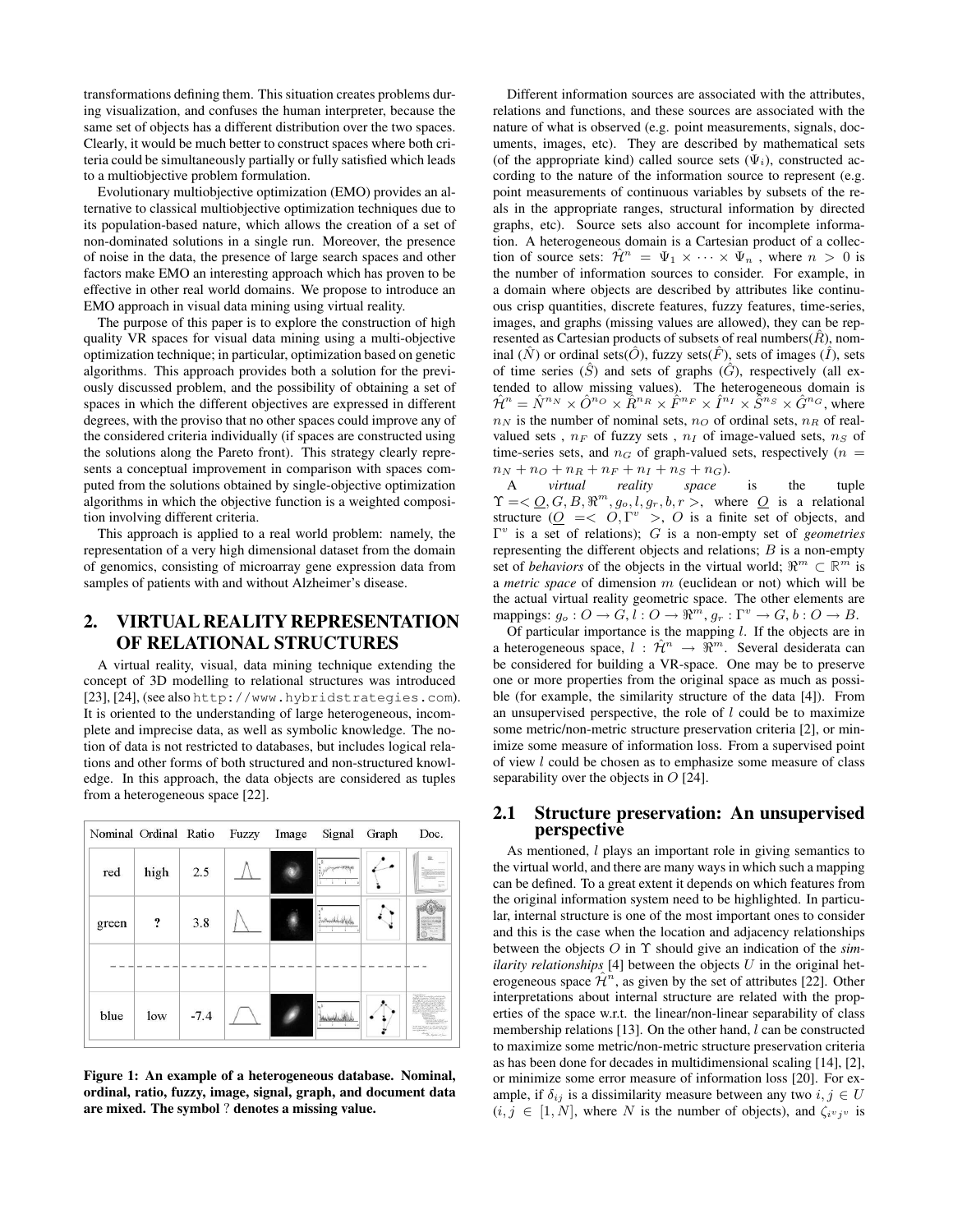transformations defining them. This situation creates problems during visualization, and confuses the human interpreter, because the same set of objects has a different distribution over the two spaces. Clearly, it would be much better to construct spaces where both criteria could be simultaneously partially or fully satisfied which leads to a multiobjective problem formulation.

Evolutionary multiobjective optimization (EMO) provides an alternative to classical multiobjective optimization techniques due to its population-based nature, which allows the creation of a set of non-dominated solutions in a single run. Moreover, the presence of noise in the data, the presence of large search spaces and other factors make EMO an interesting approach which has proven to be effective in other real world domains. We propose to introduce an EMO approach in visual data mining using virtual reality.

The purpose of this paper is to explore the construction of high quality VR spaces for visual data mining using a multi-objective optimization technique; in particular, optimization based on genetic algorithms. This approach provides both a solution for the previously discussed problem, and the possibility of obtaining a set of spaces in which the different objectives are expressed in different degrees, with the proviso that no other spaces could improve any of the considered criteria individually (if spaces are constructed using the solutions along the Pareto front). This strategy clearly represents a conceptual improvement in comparison with spaces computed from the solutions obtained by single-objective optimization algorithms in which the objective function is a weighted composition involving different criteria.

This approach is applied to a real world problem: namely, the representation of a very high dimensional dataset from the domain of genomics, consisting of microarray gene expression data from samples of patients with and without Alzheimer's disease.

## 2. VIRTUAL REALITY REPRESENTATION OF RELATIONAL STRUCTURES

A virtual reality, visual, data mining technique extending the concept of 3D modelling to relational structures was introduced [23], [24], (see also http://www.hybridstrategies.com). It is oriented to the understanding of large heterogeneous, incomplete and imprecise data, as well as symbolic knowledge. The notion of data is not restricted to databases, but includes logical relations and other forms of both structured and non-structured knowledge. In this approach, the data objects are considered as tuples from a heterogeneous space [22].



Figure 1: An example of a heterogeneous database. Nominal, ordinal, ratio, fuzzy, image, signal, graph, and document data are mixed. The symbol ? denotes a missing value.

Different information sources are associated with the attributes, relations and functions, and these sources are associated with the nature of what is observed (e.g. point measurements, signals, documents, images, etc). They are described by mathematical sets (of the appropriate kind) called source sets  $(\Psi_i)$ , constructed according to the nature of the information source to represent (e.g. point measurements of continuous variables by subsets of the reals in the appropriate ranges, structural information by directed graphs, etc). Source sets also account for incomplete information. A heterogeneous domain is a Cartesian product of a collection of source sets:  $\hat{\mathcal{H}}^n = \Psi_1 \times \cdots \times \Psi_n$ , where  $n > 0$  is the number of information sources to consider. For example, in a domain where objects are described by attributes like continuous crisp quantities, discrete features, fuzzy features, time-series, images, and graphs (missing values are allowed), they can be represented as Cartesian products of subsets of real numbers( $\hat{R}$ ), nominal  $(\hat{N})$  or ordinal sets $(\hat{O})$ , fuzzy sets $(\hat{F})$ , sets of images  $(\hat{I})$ , sets of time series  $(\hat{S})$  and sets of graphs  $(\hat{G})$ , respectively (all extended to allow missing values). The heterogeneous domain is  $\hat{\mathcal{H}}^n = \hat{N}^{n_N} \times \hat{O}^{n_Q} \times \hat{R}^{n_R} \times \hat{F}^{n_F} \times \hat{I}^{n_I} \times \hat{S}^{n_S} \times \hat{G}^{n_G}$ , where  $n_N$  is the number of nominal sets,  $n_O$  of ordinal sets,  $n_R$  of realvalued sets,  $n_F$  of fuzzy sets,  $n_I$  of image-valued sets,  $n_S$  of time-series sets, and  $n_G$  of graph-valued sets, respectively ( $n =$  $n_N + n_O + n_R + n_F + n_I + n_S + n_G$ .

A *virtual reality space* is the tuple  $\Upsilon = <\underline{O}, G, B, \Re^m, g_o, l, g_r, b, r>$ , where  $\underline{O}$  is a relational structure  $(Q \leq < O, \Gamma^v >, O$  is a finite set of objects, and Γ v is a set of relations); G is a non-empty set of *geometries* representing the different objects and relations; B is a non-empty set of *behaviors* of the objects in the virtual world;  $\mathbb{R}^m \subset \mathbb{R}^m$  is a *metric space* of dimension m (euclidean or not) which will be the actual virtual reality geometric space. The other elements are mappings:  $g_o: O \to \tilde{G}, \tilde{l}: O \to \mathbb{R}^m, g_r: \Gamma^v \to G, b: O \to B$ .

Of particular importance is the mapping  $l$ . If the objects are in a heterogeneous space,  $l : \hat{\mathcal{H}}^n \to \hat{\mathfrak{R}}^m$ . Several desiderata can be considered for building a VR-space. One may be to preserve one or more properties from the original space as much as possible (for example, the similarity structure of the data [4]). From an unsupervised perspective, the role of  $l$  could be to maximize some metric/non-metric structure preservation criteria [2], or minimize some measure of information loss. From a supervised point of view  $l$  could be chosen as to emphasize some measure of class separability over the objects in  $O$  [24].

#### 2.1 Structure preservation: An unsupervised perspective

As mentioned, l plays an important role in giving semantics to the virtual world, and there are many ways in which such a mapping can be defined. To a great extent it depends on which features from the original information system need to be highlighted. In particular, internal structure is one of the most important ones to consider and this is the case when the location and adjacency relationships between the objects O in Υ should give an indication of the *similarity relationships* [4] between the objects  $U$  in the original heterogeneous space  $\hat{\mathcal{H}}^n$ , as given by the set of attributes [22]. Other interpretations about internal structure are related with the properties of the space w.r.t. the linear/non-linear separability of class membership relations [13]. On the other hand, l can be constructed to maximize some metric/non-metric structure preservation criteria as has been done for decades in multidimensional scaling [14], [2], or minimize some error measure of information loss [20]. For example, if  $\delta_{ij}$  is a dissimilarity measure between any two  $i, j \in U$  $(i, j \in [1, N],$  where N is the number of objects), and  $\zeta_{i^v j^v}$  is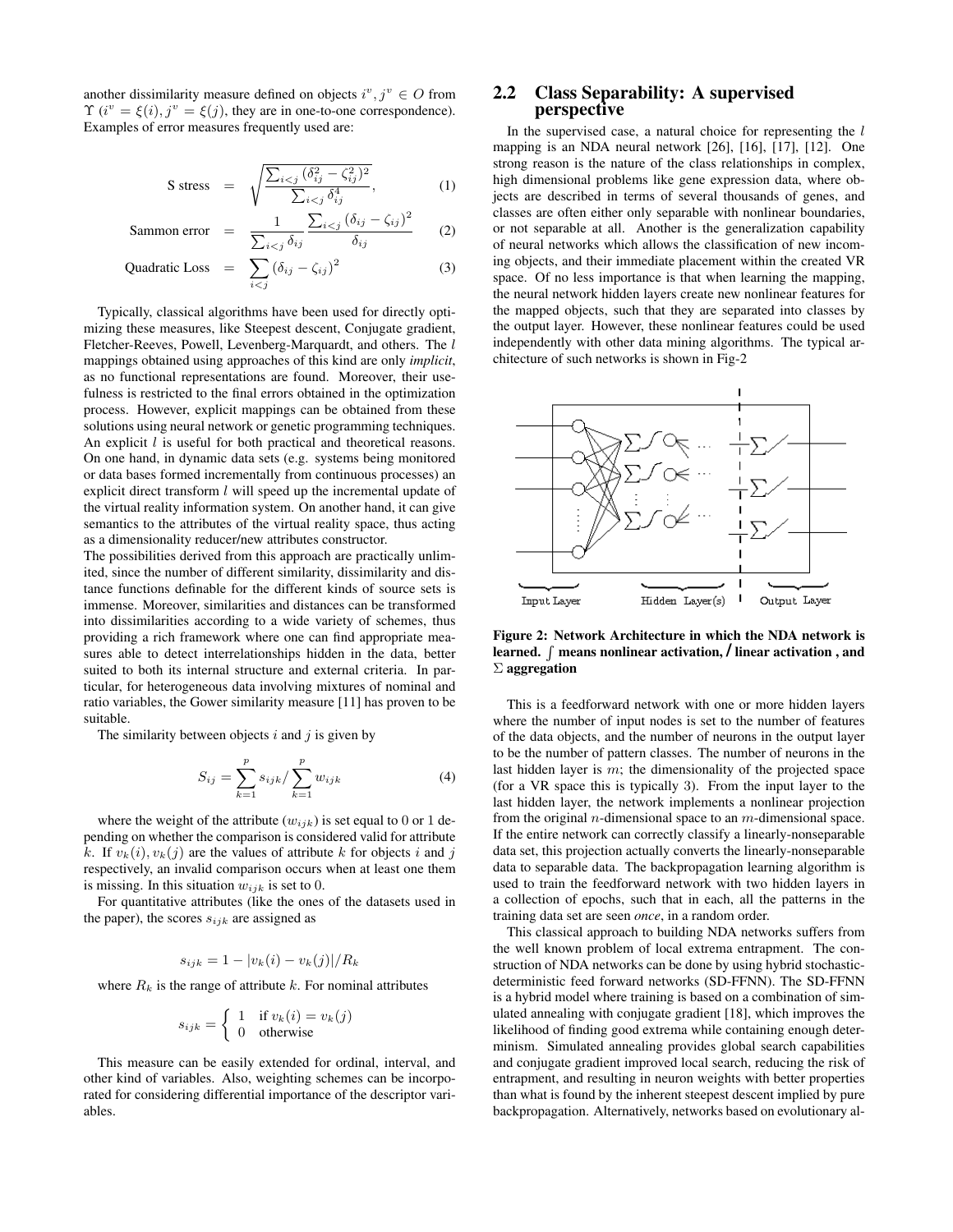another dissimilarity measure defined on objects  $i^v, j^v \in O$  from  $\Upsilon$  (i<sup>v</sup> =  $\xi$ (i), j<sup>v</sup> =  $\xi$ (j), they are in one-to-one correspondence). Examples of error measures frequently used are:

$$
\text{S stress} = \sqrt{\frac{\sum_{i < j} (\delta_{ij}^2 - \zeta_{ij}^2)^2}{\sum_{i < j} \delta_{ij}^4}},\tag{1}
$$

Sammon error 
$$
= \frac{1}{\sum_{i < j} \delta_{ij}} \frac{\sum_{i < j} (\delta_{ij} - \zeta_{ij})^2}{\delta_{ij}}
$$
 (2)

Quadratic Loss = 
$$
\sum_{i < j} (\delta_{ij} - \zeta_{ij})^2
$$
 (3)

Typically, classical algorithms have been used for directly optimizing these measures, like Steepest descent, Conjugate gradient, Fletcher-Reeves, Powell, Levenberg-Marquardt, and others. The l mappings obtained using approaches of this kind are only *implicit*, as no functional representations are found. Moreover, their usefulness is restricted to the final errors obtained in the optimization process. However, explicit mappings can be obtained from these solutions using neural network or genetic programming techniques. An explicit  $l$  is useful for both practical and theoretical reasons. On one hand, in dynamic data sets (e.g. systems being monitored or data bases formed incrementally from continuous processes) an explicit direct transform  $l$  will speed up the incremental update of the virtual reality information system. On another hand, it can give semantics to the attributes of the virtual reality space, thus acting as a dimensionality reducer/new attributes constructor.

The possibilities derived from this approach are practically unlimited, since the number of different similarity, dissimilarity and distance functions definable for the different kinds of source sets is immense. Moreover, similarities and distances can be transformed into dissimilarities according to a wide variety of schemes, thus providing a rich framework where one can find appropriate measures able to detect interrelationships hidden in the data, better suited to both its internal structure and external criteria. In particular, for heterogeneous data involving mixtures of nominal and ratio variables, the Gower similarity measure [11] has proven to be suitable.

The similarity between objects  $i$  and  $j$  is given by

$$
S_{ij} = \sum_{k=1}^{p} s_{ijk} / \sum_{k=1}^{p} w_{ijk}
$$
 (4)

where the weight of the attribute  $(w_{ijk})$  is set equal to 0 or 1 depending on whether the comparison is considered valid for attribute k. If  $v_k(i), v_k(j)$  are the values of attribute k for objects i and j respectively, an invalid comparison occurs when at least one them is missing. In this situation  $w_{ijk}$  is set to 0.

For quantitative attributes (like the ones of the datasets used in the paper), the scores  $s_{ijk}$  are assigned as

$$
s_{ijk} = 1 - |v_k(i) - v_k(j)|/R_k
$$

where  $R_k$  is the range of attribute k. For nominal attributes

$$
s_{ijk} = \begin{cases} 1 & \text{if } v_k(i) = v_k(j) \\ 0 & \text{otherwise} \end{cases}
$$

This measure can be easily extended for ordinal, interval, and other kind of variables. Also, weighting schemes can be incorporated for considering differential importance of the descriptor variables.

#### 2.2 Class Separability: A supervised perspective

S stress  $= \sqrt{\frac{\sum_{i < j} (\delta_{ij}^2 - \zeta_{ij}^2)^2}{\sum_{i \neq j} (S_i^2 - \zeta_{ij}^2)^2}}$  (1) high dimensional problems like gene expression data, where ob- $\sum_{i \leq j} \delta_{ij}^4$ ,  $\sum_{i \leq j} \delta_{ij}^4$ , jects are described in terms of several thousands of genes, and  $\frac{1}{\sqrt{1-\frac{1}{c^2}}}\frac{\sum_i z_i(y_i - y_i)}{y_j}$  (2) or not separable at all. Another is the generalization capability  $\nabla$  ( $\lambda$ ,  $\lambda$ )<sup>2</sup> classes are often either only separable with nonlinear boundaries, Quadratic Loss  $= \sum (\delta_{ij} - \zeta_{ij})^2$  (3) ing objects, and their immediate placement within the created VR In the supervised case, a natural choice for representing the  $l$ mapping is an NDA neural network [26], [16], [17], [12]. One strong reason is the nature of the class relationships in complex, of neural networks which allows the classification of new incoming objects, and their immediate placement within the created VR space. Of no less importance is that when learning the mapping, the neural network hidden layers create new nonlinear features for the mapped objects, such that they are separated into classes by the output layer. However, these nonlinear features could be used independently with other data mining algorithms. The typical architecture of such networks is shown in Fig-2



Figure 2: Network Architecture in which the NDA network is learned.  $\int$  means nonlinear activation,  $\prime$  linear activation , and  $\Sigma$  aggregation

This is a feedforward network with one or more hidden layers where the number of input nodes is set to the number of features of the data objects, and the number of neurons in the output layer to be the number of pattern classes. The number of neurons in the last hidden layer is  $m$ ; the dimensionality of the projected space (for a VR space this is typically 3). From the input layer to the last hidden layer, the network implements a nonlinear projection from the original *n*-dimensional space to an *m*-dimensional space. If the entire network can correctly classify a linearly-nonseparable data set, this projection actually converts the linearly-nonseparable data to separable data. The backpropagation learning algorithm is used to train the feedforward network with two hidden layers in a collection of epochs, such that in each, all the patterns in the training data set are seen *once*, in a random order.

 $s_{ijk} = \begin{cases} 1 & \text{if } v_k(i) = v_k(j) \end{cases}$  ulated annealing with conjugate gradient [18], which improves the likelihood of finding good extrema while containing enough deter-This classical approach to building NDA networks suffers from the well known problem of local extrema entrapment. The construction of NDA networks can be done by using hybrid stochasticdeterministic feed forward networks (SD-FFNN). The SD-FFNN is a hybrid model where training is based on a combination of simlikelihood of finding good extrema while containing enough determinism. Simulated annealing provides global search capabilities and conjugate gradient improved local search, reducing the risk of entrapment, and resulting in neuron weights with better properties than what is found by the inherent steepest descent implied by pure backpropagation. Alternatively, networks based on evolutionary al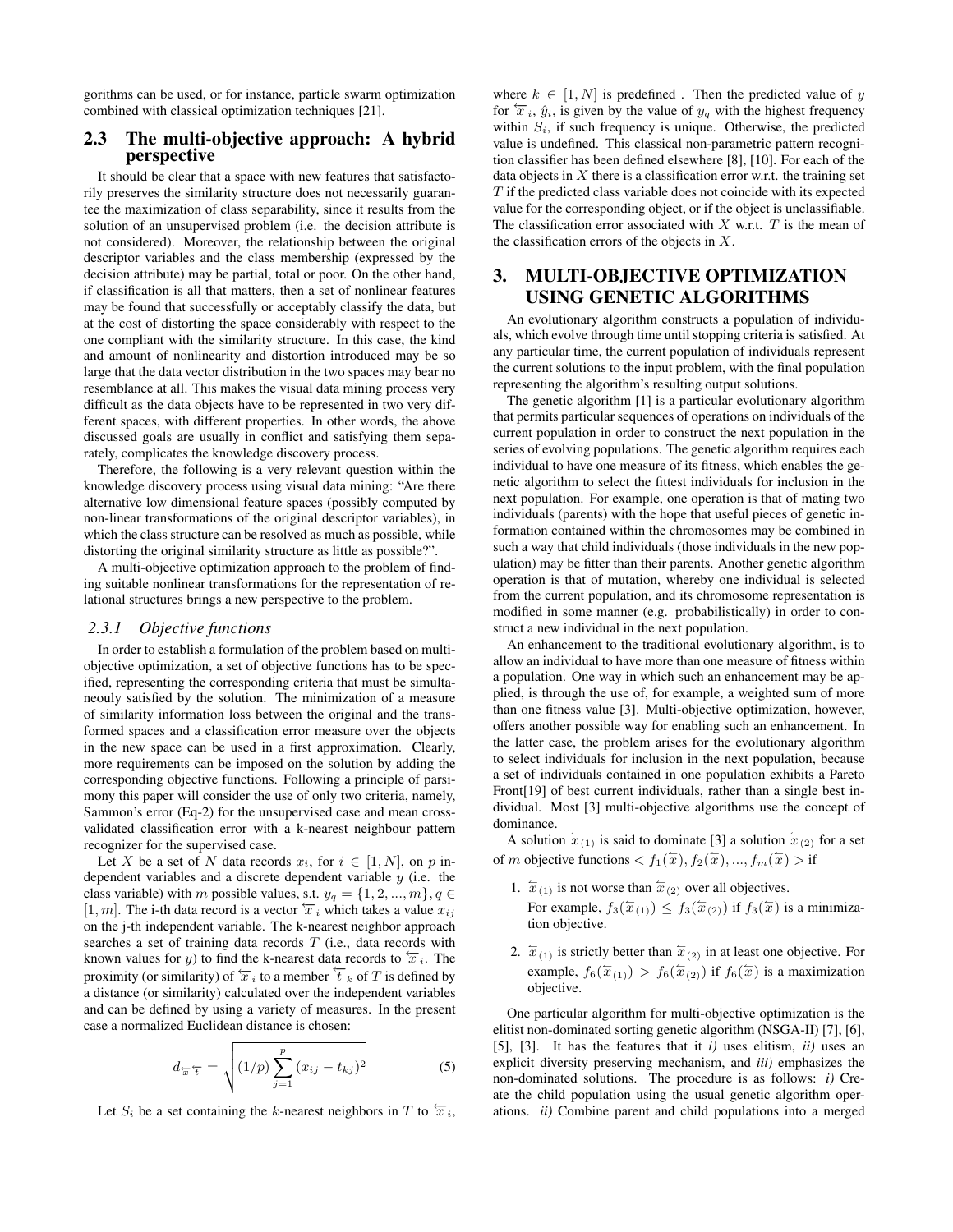gorithms can be used, or for instance, particle swarm optimization combined with classical optimization techniques [21].

#### 2.3 The multi-objective approach: A hybrid perspective

It should be clear that a space with new features that satisfactorily preserves the similarity structure does not necessarily guarantee the maximization of class separability, since it results from the solution of an unsupervised problem (i.e. the decision attribute is not considered). Moreover, the relationship between the original descriptor variables and the class membership (expressed by the decision attribute) may be partial, total or poor. On the other hand, if classification is all that matters, then a set of nonlinear features may be found that successfully or acceptably classify the data, but at the cost of distorting the space considerably with respect to the one compliant with the similarity structure. In this case, the kind and amount of nonlinearity and distortion introduced may be so large that the data vector distribution in the two spaces may bear no resemblance at all. This makes the visual data mining process very difficult as the data objects have to be represented in two very different spaces, with different properties. In other words, the above discussed goals are usually in conflict and satisfying them separately, complicates the knowledge discovery process.

Therefore, the following is a very relevant question within the knowledge discovery process using visual data mining: "Are there alternative low dimensional feature spaces (possibly computed by non-linear transformations of the original descriptor variables), in which the class structure can be resolved as much as possible, while distorting the original similarity structure as little as possible?".

A multi-objective optimization approach to the problem of finding suitable nonlinear transformations for the representation of relational structures brings a new perspective to the problem.

#### *2.3.1 Objective functions*

In order to establish a formulation of the problem based on multiobjective optimization, a set of objective functions has to be specified, representing the corresponding criteria that must be simultaneouly satisfied by the solution. The minimization of a measure of similarity information loss between the original and the transformed spaces and a classification error measure over the objects in the new space can be used in a first approximation. Clearly, more requirements can be imposed on the solution by adding the corresponding objective functions. Following a principle of parsimony this paper will consider the use of only two criteria, namely, Sammon's error (Eq-2) for the unsupervised case and mean crossvalidated classification error with a k-nearest neighbour pattern recognizer for the supervised case.

Let X be a set of N data records  $x_i$ , for  $i \in [1, N]$ , on p independent variables and a discrete dependent variable y (i.e. the class variable) with m possible values, s.t.  $y_q = \{1, 2, ..., m\}, q \in$ [1, m]. The i-th data record is a vector  $\overleftarrow{x_i}$  which takes a value  $x_{ij}$ on the j-th independent variable. The k-nearest neighbor approach searches a set of training data records  $T$  (i.e., data records with known values for y) to find the k-nearest data records to  $\overleftarrow{x_i}$ . The proximity (or similarity) of  $\overleftarrow{x}_i$  to a member  $\overleftarrow{t}_k$  of T is defined by a distance (or similarity) calculated over the independent variables and can be defined by using a variety of measures. In the present case a normalized Euclidean distance is chosen:

$$
d_{\overleftarrow{x}} = \sqrt{(1/p) \sum_{j=1}^{p} (x_{ij} - t_{kj})^2}
$$
 (5)

Let  $S_i$  be a set containing the k-nearest neighbors in T to  $\overleftarrow{x}_i$ ,

where  $k \in [1, N]$  is predefined. Then the predicted value of y for  $\overleftarrow{x}_i$ ,  $\hat{y}_i$ , is given by the value of  $y_q$  with the highest frequency within  $S_i$ , if such frequency is unique. Otherwise, the predicted value is undefined. This classical non-parametric pattern recognition classifier has been defined elsewhere [8], [10]. For each of the data objects in  $X$  there is a classification error w.r.t. the training set  $T$  if the predicted class variable does not coincide with its expected value for the corresponding object, or if the object is unclassifiable. The classification error associated with  $X$  w.r.t.  $T$  is the mean of the classification errors of the objects in  $X$ .

## 3. MULTI-OBJECTIVE OPTIMIZATION USING GENETIC ALGORITHMS

An evolutionary algorithm constructs a population of individuals, which evolve through time until stopping criteria is satisfied. At any particular time, the current population of individuals represent the current solutions to the input problem, with the final population representing the algorithm's resulting output solutions.

The genetic algorithm [1] is a particular evolutionary algorithm that permits particular sequences of operations on individuals of the current population in order to construct the next population in the series of evolving populations. The genetic algorithm requires each individual to have one measure of its fitness, which enables the genetic algorithm to select the fittest individuals for inclusion in the next population. For example, one operation is that of mating two individuals (parents) with the hope that useful pieces of genetic information contained within the chromosomes may be combined in such a way that child individuals (those individuals in the new population) may be fitter than their parents. Another genetic algorithm operation is that of mutation, whereby one individual is selected from the current population, and its chromosome representation is modified in some manner (e.g. probabilistically) in order to construct a new individual in the next population.

An enhancement to the traditional evolutionary algorithm, is to allow an individual to have more than one measure of fitness within a population. One way in which such an enhancement may be applied, is through the use of, for example, a weighted sum of more than one fitness value [3]. Multi-objective optimization, however, offers another possible way for enabling such an enhancement. In the latter case, the problem arises for the evolutionary algorithm to select individuals for inclusion in the next population, because a set of individuals contained in one population exhibits a Pareto Front [19] of best current individuals, rather than a single best individual. Most [3] multi-objective algorithms use the concept of dominance.

A solution  $\overline{x}_{(1)}$  is said to dominate [3] a solution  $\overline{x}_{(2)}$  for a set of m objective functions  $\langle f_1(\overline{x}), f_2(\overline{x}), ..., f_m(\overline{x}) \rangle$  if

- 1.  $\overline{x}_{(1)}$  is not worse than  $\overline{x}_{(2)}$  over all objectives. For example,  $f_3(\overline{x}_{(1)}) \le f_3(\overline{x}_{(2)})$  if  $f_3(\overline{x})$  is a minimization objective.
- 2.  $\overline{x}_{(1)}$  is strictly better than  $\overline{x}_{(2)}$  in at least one objective. For example,  $f_6(\overline{\hat{x}}_{(1)}) > f_6(\overline{\hat{x}}_{(2)})$  if  $f_6(\overline{\hat{x}})$  is a maximization objective.

 $\tau_t = \sqrt{(1/p)\sum_{i=1}^{p} (x_{ij} - t_{kj})^2}$  (5) [5], [3]. It has the features that it *i*) uses elitism, *ii*) uses an explicit diversity preserving mechanism, and *iii*) emphasizes the  $\boxed{p}$  [5], [3]. It has the features that it *i*) uses elitism, *ii*) uses an  $(1/n)\sum_{x \in \mathbb{Z}} (x_{ii} - t_{bi})^2$  (5) explicit diversity preserving mechanism, and *iii*) emphasizes the One particular algorithm for multi-objective optimization is the elitist non-dominated sorting genetic algorithm (NSGA-II) [7], [6], non-dominated solutions. The procedure is as follows: *i)* Create the child population using the usual genetic algorithm operations. *ii)* Combine parent and child populations into a merged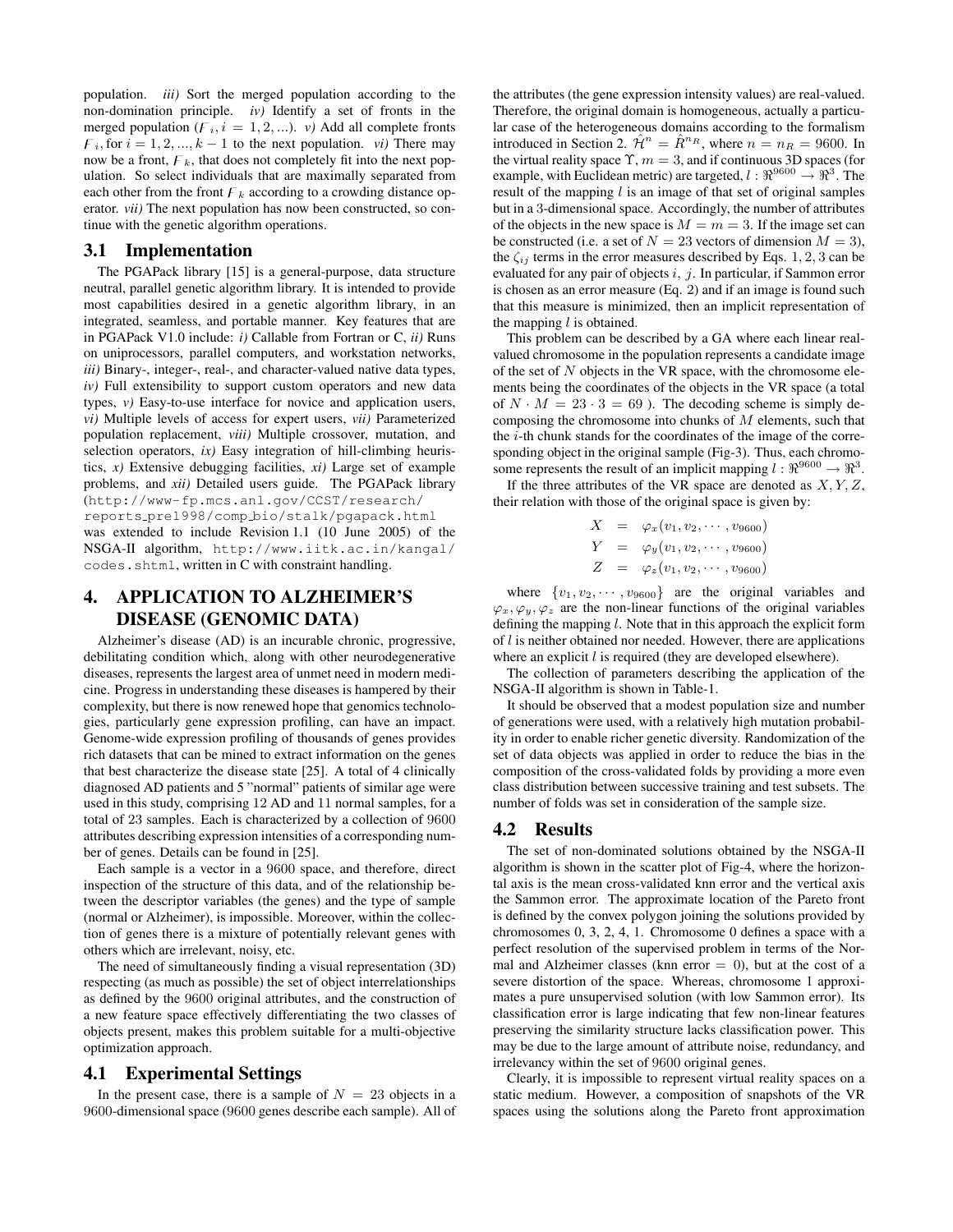population. *iii)* Sort the merged population according to the non-domination principle. *iv)* Identify a set of fronts in the merged population  $(F_i, i = 1, 2, ...)$ . *v*) Add all complete fronts  $F_i$ , for  $i = 1, 2, ..., k - 1$  to the next population. *vi*) There may now be a front,  $F_k$ , that does not completely fit into the next population. So select individuals that are maximally separated from each other from the front  $F_k$  according to a crowding distance operator. *vii)* The next population has now been constructed, so continue with the genetic algorithm operations.

#### 3.1 Implementation

The PGAPack library [15] is a general-purpose, data structure neutral, parallel genetic algorithm library. It is intended to provide most capabilities desired in a genetic algorithm library, in an integrated, seamless, and portable manner. Key features that are in PGAPack V1.0 include: *i)* Callable from Fortran or C, *ii)* Runs on uniprocessors, parallel computers, and workstation networks, *iii)* Binary-, integer-, real-, and character-valued native data types, *iv)* Full extensibility to support custom operators and new data types, *v)* Easy-to-use interface for novice and application users, *vi)* Multiple levels of access for expert users, *vii)* Parameterized population replacement, *viii)* Multiple crossover, mutation, and selection operators, *ix)* Easy integration of hill-climbing heuristics, *x)* Extensive debugging facilities, *xi)* Large set of example problems, and *xii)* Detailed users guide. The PGAPack library (http://www-fp.mcs.anl.gov/CCST/research/ reports pre1998/comp bio/stalk/pgapack.html was extended to include Revision 1.1 (10 June 2005) of the NSGA-II algorithm, http://www.iitk.ac.in/kangal/ codes.shtml, written in C with constraint handling.

# 4. APPLICATION TO ALZHEIMER'S DISEASE (GENOMIC DATA)

Alzheimer's disease (AD) is an incurable chronic, progressive, debilitating condition which, along with other neurodegenerative diseases, represents the largest area of unmet need in modern medicine. Progress in understanding these diseases is hampered by their complexity, but there is now renewed hope that genomics technologies, particularly gene expression profiling, can have an impact. Genome-wide expression profiling of thousands of genes provides rich datasets that can be mined to extract information on the genes that best characterize the disease state [25]. A total of 4 clinically diagnosed AD patients and 5 "normal" patients of similar age were used in this study, comprising 12 AD and 11 normal samples, for a total of 23 samples. Each is characterized by a collection of 9600 attributes describing expression intensities of a corresponding number of genes. Details can be found in [25].

Each sample is a vector in a 9600 space, and therefore, direct inspection of the structure of this data, and of the relationship between the descriptor variables (the genes) and the type of sample (normal or Alzheimer), is impossible. Moreover, within the collection of genes there is a mixture of potentially relevant genes with others which are irrelevant, noisy, etc.

The need of simultaneously finding a visual representation (3D) respecting (as much as possible) the set of object interrelationships as defined by the 9600 original attributes, and the construction of a new feature space effectively differentiating the two classes of objects present, makes this problem suitable for a multi-objective optimization approach.

#### 4.1 Experimental Settings

In the present case, there is a sample of  $N = 23$  objects in a 9600-dimensional space (9600 genes describe each sample). All of the attributes (the gene expression intensity values) are real-valued. Therefore, the original domain is homogeneous, actually a particular case of the heterogeneous domains according to the formalism introduced in Section 2.  $\hat{\mathcal{H}}^n = \hat{R}^{n_R}$ , where  $n = n_R = 9600$ . In the virtual reality space  $\Upsilon$ ,  $m = 3$ , and if continuous 3D spaces (for example, with Euclidean metric) are targeted,  $l: \Re^{9600} \to \Re^3$ . The result of the mapping  $l$  is an image of that set of original samples but in a 3-dimensional space. Accordingly, the number of attributes of the objects in the new space is  $M = m = 3$ . If the image set can be constructed (i.e. a set of  $N = 23$  vectors of dimension  $M = 3$ ), the  $\zeta_{ij}$  terms in the error measures described by Eqs. 1, 2, 3 can be evaluated for any pair of objects  $i, j$ . In particular, if Sammon error is chosen as an error measure (Eq. 2) and if an image is found such that this measure is minimized, then an implicit representation of the mapping  $l$  is obtained.

This problem can be described by a GA where each linear realvalued chromosome in the population represents a candidate image of the set of  $N$  objects in the VR space, with the chromosome elements being the coordinates of the objects in the VR space (a total of  $N \cdot M = 23 \cdot 3 = 69$ . The decoding scheme is simply decomposing the chromosome into chunks of  $M$  elements, such that the  $i$ -th chunk stands for the coordinates of the image of the corresponding object in the original sample (Fig-3). Thus, each chromosome represents the result of an implicit mapping  $l: \Re^{9600} \to \Re^3$ .

If the three attributes of the VR space are denoted as  $X, Y, Z$ , their relation with those of the original space is given by:

$$
X = \varphi_x(v_1, v_2, \cdots, v_{9600})
$$
  
\n
$$
Y = \varphi_y(v_1, v_2, \cdots, v_{9600})
$$
  
\n
$$
Z = \varphi_z(v_1, v_2, \cdots, v_{9600})
$$

where  $\{v_1, v_2, \cdots, v_{9600}\}$  are the original variables and  $\varphi_x, \varphi_y, \varphi_z$  are the non-linear functions of the original variables defining the mapping  $l$ . Note that in this approach the explicit form of l is neither obtained nor needed. However, there are applications where an explicit  $l$  is required (they are developed elsewhere).

The collection of parameters describing the application of the NSGA-II algorithm is shown in Table-1.

It should be observed that a modest population size and number of generations were used, with a relatively high mutation probability in order to enable richer genetic diversity. Randomization of the set of data objects was applied in order to reduce the bias in the composition of the cross-validated folds by providing a more even class distribution between successive training and test subsets. The number of folds was set in consideration of the sample size.

#### 4.2 Results

The set of non-dominated solutions obtained by the NSGA-II algorithm is shown in the scatter plot of Fig-4, where the horizontal axis is the mean cross-validated knn error and the vertical axis the Sammon error. The approximate location of the Pareto front is defined by the convex polygon joining the solutions provided by chromosomes 0, 3, 2, 4, 1. Chromosome 0 defines a space with a perfect resolution of the supervised problem in terms of the Normal and Alzheimer classes (knn error  $= 0$ ), but at the cost of a severe distortion of the space. Whereas, chromosome 1 approximates a pure unsupervised solution (with low Sammon error). Its classification error is large indicating that few non-linear features preserving the similarity structure lacks classification power. This may be due to the large amount of attribute noise, redundancy, and irrelevancy within the set of 9600 original genes.

Clearly, it is impossible to represent virtual reality spaces on a static medium. However, a composition of snapshots of the VR spaces using the solutions along the Pareto front approximation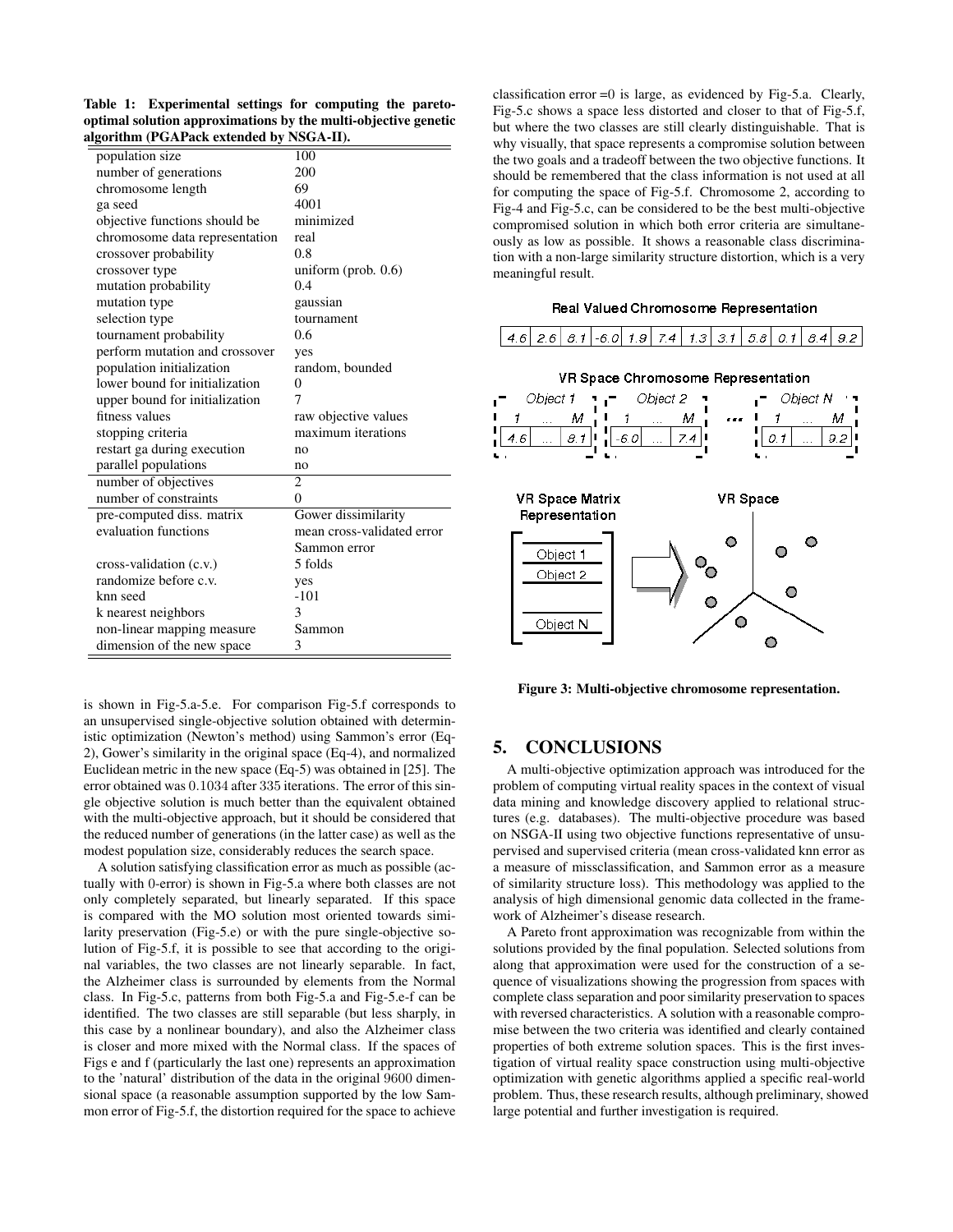Table 1: Experimental settings for computing the paretooptimal solution approximations by the multi-objective genetic algorithm (PGAPack extended by NSGA-II).

| population size                | 100                        |
|--------------------------------|----------------------------|
| number of generations          | 200                        |
| chromosome length              | 69                         |
| ga seed                        | 4001                       |
| objective functions should be  | minimized                  |
| chromosome data representation | real                       |
| crossover probability          | 0.8                        |
| crossover type                 | uniform (prob. $0.6$ )     |
| mutation probability           | 0.4                        |
| mutation type                  | gaussian                   |
| selection type                 | tournament                 |
| tournament probability         | 0.6                        |
| perform mutation and crossover | yes                        |
| population initialization      | random, bounded            |
| lower bound for initialization | 0                          |
| upper bound for initialization | 7                          |
| fitness values                 | raw objective values       |
| stopping criteria              | maximum iterations         |
| restart ga during execution    | no                         |
| parallel populations           | no                         |
| number of objectives           | $\overline{2}$             |
| number of constraints          | $\theta$                   |
| pre-computed diss. matrix      | Gower dissimilarity        |
| evaluation functions           | mean cross-validated error |
|                                | Sammon error               |
| cross-validation (c.v.)        | 5 folds                    |
| randomize before c.v.          | yes                        |
| knn seed                       | $-101$                     |
| k nearest neighbors            | 3                          |
| non-linear mapping measure     | Sammon                     |
| dimension of the new space     | 3                          |

is shown in Fig-5.a-5.e. For comparison Fig-5.f corresponds to an unsupervised single-objective solution obtained with deterministic optimization (Newton's method) using Sammon's error (Eq-2), Gower's similarity in the original space (Eq-4), and normalized Euclidean metric in the new space (Eq-5) was obtained in [25]. The error obtained was 0.1034 after 335 iterations. The error of this single objective solution is much better than the equivalent obtained with the multi-objective approach, but it should be considered that the reduced number of generations (in the latter case) as well as the modest population size, considerably reduces the search space.

A solution satisfying classification error as much as possible (actually with 0-error) is shown in Fig-5.a where both classes are not only completely separated, but linearly separated. If this space is compared with the MO solution most oriented towards similarity preservation (Fig-5.e) or with the pure single-objective solution of Fig-5.f, it is possible to see that according to the original variables, the two classes are not linearly separable. In fact, the Alzheimer class is surrounded by elements from the Normal class. In Fig-5.c, patterns from both Fig-5.a and Fig-5.e-f can be identified. The two classes are still separable (but less sharply, in this case by a nonlinear boundary), and also the Alzheimer class is closer and more mixed with the Normal class. If the spaces of Figs e and f (particularly the last one) represents an approximation to the 'natural' distribution of the data in the original 9600 dimensional space (a reasonable assumption supported by the low Sammon error of Fig-5.f, the distortion required for the space to achieve classification error =0 is large, as evidenced by Fig-5.a. Clearly, Fig-5.c shows a space less distorted and closer to that of Fig-5.f, but where the two classes are still clearly distinguishable. That is why visually, that space represents a compromise solution between the two goals and a tradeoff between the two objective functions. It should be remembered that the class information is not used at all for computing the space of Fig-5.f. Chromosome 2, according to Fig-4 and Fig-5.c, can be considered to be the best multi-objective compromised solution in which both error criteria are simultaneously as low as possible. It shows a reasonable class discrimination with a non-large similarity structure distortion, which is a very meaningful result.



Figure 3: Multi-objective chromosome representation.

### 5. CONCLUSIONS

A multi-objective optimization approach was introduced for the problem of computing virtual reality spaces in the context of visual data mining and knowledge discovery applied to relational structures (e.g. databases). The multi-objective procedure was based on NSGA-II using two objective functions representative of unsupervised and supervised criteria (mean cross-validated knn error as a measure of missclassification, and Sammon error as a measure of similarity structure loss). This methodology was applied to the analysis of high dimensional genomic data collected in the framework of Alzheimer's disease research.

A Pareto front approximation was recognizable from within the solutions provided by the final population. Selected solutions from along that approximation were used for the construction of a sequence of visualizations showing the progression from spaces with complete class separation and poor similarity preservation to spaces with reversed characteristics. A solution with a reasonable compromise between the two criteria was identified and clearly contained properties of both extreme solution spaces. This is the first investigation of virtual reality space construction using multi-objective optimization with genetic algorithms applied a specific real-world problem. Thus, these research results, although preliminary, showed large potential and further investigation is required.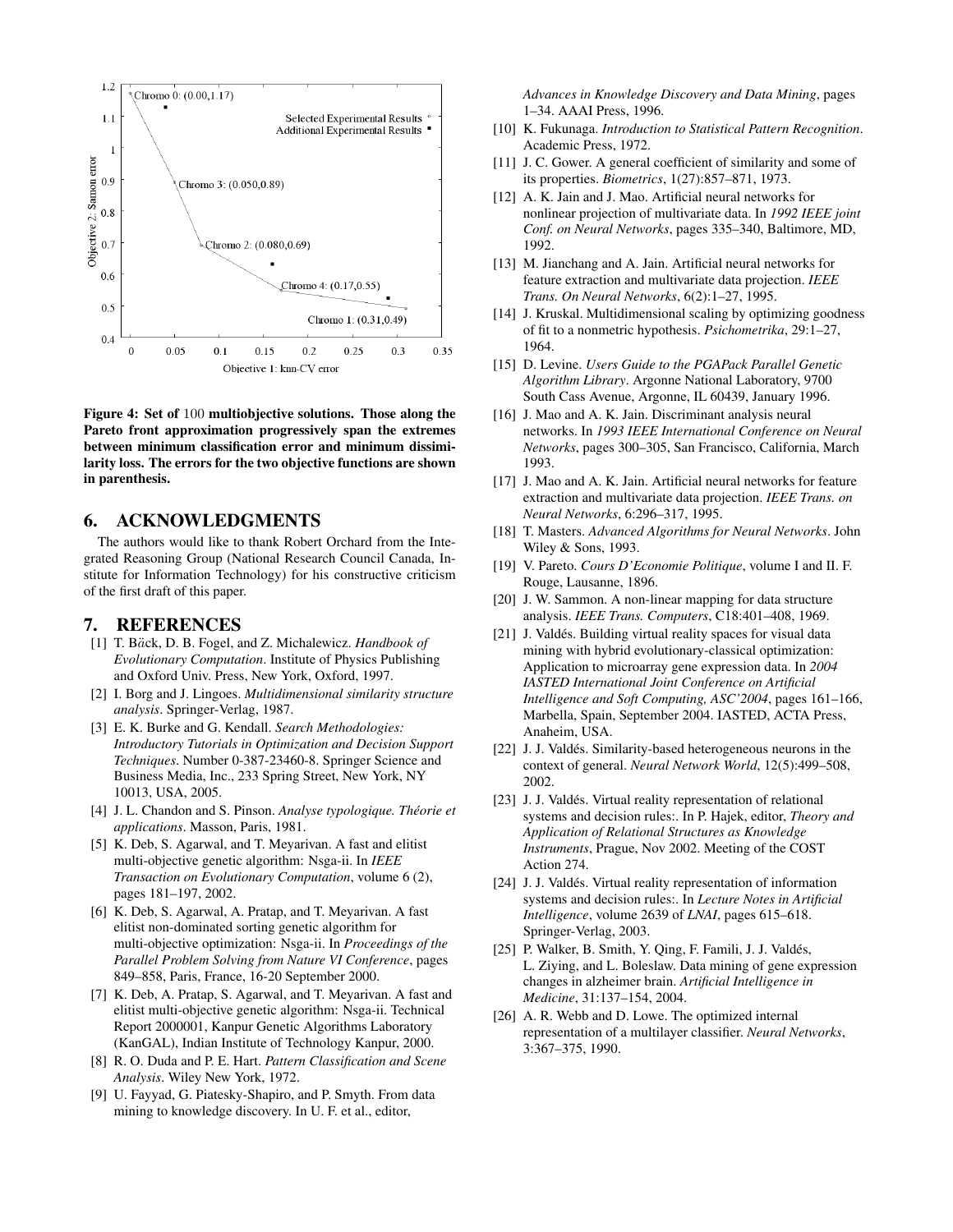

Figure 4: Set of 100 multiobjective solutions. Those along the Pareto front approximation progressively span the extremes between minimum classification error and minimum dissimilarity loss. The errors for the two objective functions are shown in parenthesis.

#### 6. ACKNOWLEDGMENTS

The authors would like to thank Robert Orchard from the Integrated Reasoning Group (National Research Council Canada, Institute for Information Technology) for his constructive criticism of the first draft of this paper.

#### 7. REFERENCES

- [1] T. Bäck, D. B. Fogel, and Z. Michalewicz. *Handbook of Evolutionary Computation*. Institute of Physics Publishing and Oxford Univ. Press, New York, Oxford, 1997.
- [2] I. Borg and J. Lingoes. *Multidimensional similarity structure analysis*. Springer-Verlag, 1987.
- [3] E. K. Burke and G. Kendall. *Search Methodologies: Introductory Tutorials in Optimization and Decision Support Techniques*. Number 0-387-23460-8. Springer Science and Business Media, Inc., 233 Spring Street, New York, NY 10013, USA, 2005.
- [4] J. L. Chandon and S. Pinson. *Analyse typologique. Theorie et ´ applications*. Masson, Paris, 1981.
- [5] K. Deb, S. Agarwal, and T. Meyarivan. A fast and elitist multi-objective genetic algorithm: Nsga-ii. In *IEEE Transaction on Evolutionary Computation*, volume 6 (2), pages 181–197, 2002.
- [6] K. Deb, S. Agarwal, A. Pratap, and T. Meyarivan. A fast elitist non-dominated sorting genetic algorithm for multi-objective optimization: Nsga-ii. In *Proceedings of the Parallel Problem Solving from Nature VI Conference*, pages 849–858, Paris, France, 16-20 September 2000.
- [7] K. Deb, A. Pratap, S. Agarwal, and T. Meyarivan. A fast and elitist multi-objective genetic algorithm: Nsga-ii. Technical Report 2000001, Kanpur Genetic Algorithms Laboratory (KanGAL), Indian Institute of Technology Kanpur, 2000.
- [8] R. O. Duda and P. E. Hart. *Pattern Classification and Scene Analysis*. Wiley New York, 1972.
- [9] U. Fayyad, G. Piatesky-Shapiro, and P. Smyth. From data mining to knowledge discovery. In U. F. et al., editor,

*Advances in Knowledge Discovery and Data Mining*, pages 1–34. AAAI Press, 1996.

- [10] K. Fukunaga. *Introduction to Statistical Pattern Recognition*. Academic Press, 1972.
- [11] J. C. Gower. A general coefficient of similarity and some of its properties. *Biometrics*, 1(27):857–871, 1973.
- [12] A. K. Jain and J. Mao. Artificial neural networks for nonlinear projection of multivariate data. In *1992 IEEE joint Conf. on Neural Networks*, pages 335–340, Baltimore, MD, 1992.
- [13] M. Jianchang and A. Jain. Artificial neural networks for feature extraction and multivariate data projection. *IEEE Trans. On Neural Networks*, 6(2):1–27, 1995.
- [14] J. Kruskal. Multidimensional scaling by optimizing goodness of fit to a nonmetric hypothesis. *Psichometrika*, 29:1–27, 1964.
- [15] D. Levine. *Users Guide to the PGAPack Parallel Genetic Algorithm Library*. Argonne National Laboratory, 9700 South Cass Avenue, Argonne, IL 60439, January 1996.
- [16] J. Mao and A. K. Jain. Discriminant analysis neural networks. In *1993 IEEE International Conference on Neural Networks*, pages 300–305, San Francisco, California, March 1993.
- [17] J. Mao and A. K. Jain. Artificial neural networks for feature extraction and multivariate data projection. *IEEE Trans. on Neural Networks*, 6:296–317, 1995.
- [18] T. Masters. *Advanced Algorithms for Neural Networks*. John Wiley & Sons, 1993.
- [19] V. Pareto. *Cours D'Economie Politique*, volume I and II. F. Rouge, Lausanne, 1896.
- [20] J. W. Sammon. A non-linear mapping for data structure analysis. *IEEE Trans. Computers*, C18:401–408, 1969.
- [21] J. Valdés. Building virtual reality spaces for visual data mining with hybrid evolutionary-classical optimization: Application to microarray gene expression data. In *2004 IASTED International Joint Conference on Artificial Intelligence and Soft Computing, ASC'2004*, pages 161–166, Marbella, Spain, September 2004. IASTED, ACTA Press, Anaheim, USA.
- [22] J. J. Valdés. Similarity-based heterogeneous neurons in the context of general. *Neural Network World*, 12(5):499–508, 2002.
- [23] J. J. Valdés. Virtual reality representation of relational systems and decision rules:. In P. Hajek, editor, *Theory and Application of Relational Structures as Knowledge Instruments*, Prague, Nov 2002. Meeting of the COST Action 274.
- [24] J. J. Valdés. Virtual reality representation of information systems and decision rules:. In *Lecture Notes in Artificial Intelligence*, volume 2639 of *LNAI*, pages 615–618. Springer-Verlag, 2003.
- [25] P. Walker, B. Smith, Y. Qing, F. Famili, J. J. Valdés, L. Ziying, and L. Boleslaw. Data mining of gene expression changes in alzheimer brain. *Artificial Intelligence in Medicine*, 31:137–154, 2004.
- [26] A. R. Webb and D. Lowe. The optimized internal representation of a multilayer classifier. *Neural Networks*, 3:367–375, 1990.